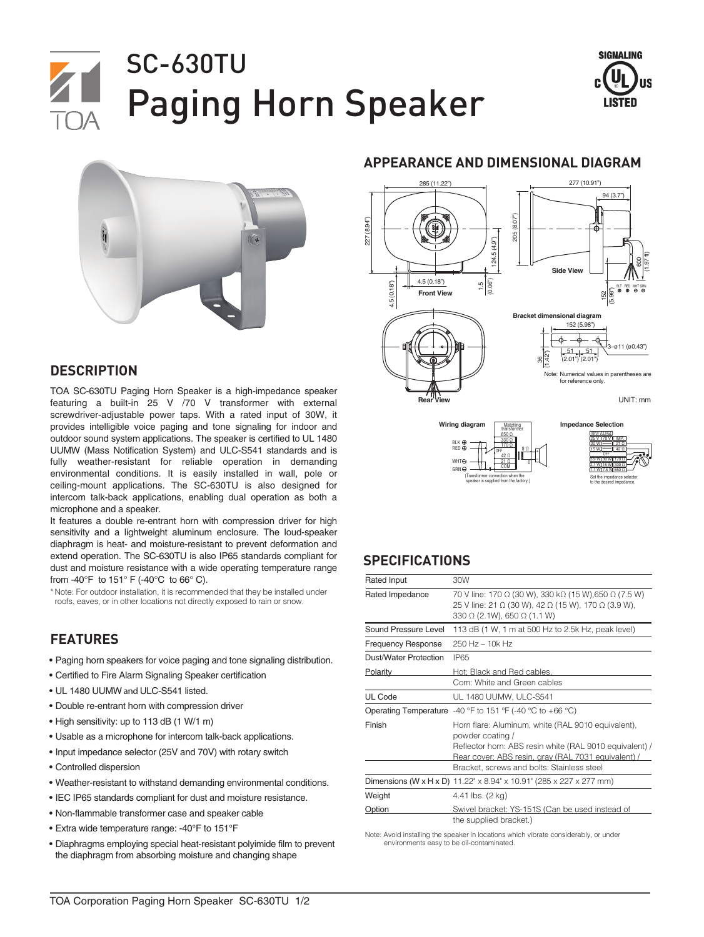# SC-630TU Paging Horn Speaker





### **DESCRIPTION**

TOA SC-630TU Paging Horn Speaker is a high-impedance speaker featuring a built-in 25 V /70 V transformer with external screwdriver-adjustable power taps. With a rated input of 30W, it provides intelligible voice paging and tone signaling for indoor and outdoor sound system applications. The speaker is certified to UL 1480 UUMW (Mass Notification System) and ULC-S541 standards and is fully weather-resistant for reliable operation in demanding environmental conditions. It is easily installed in wall, pole or ceiling-mount applications. The SC-630TU is also designed for intercom talk-back applications, enabling dual operation as both a microphone and a speaker.

It features a double re-entrant horn with compression driver for high sensitivity and a lightweight aluminum enclosure. The loud-speaker diaphragm is heat- and moisture-resistant to prevent deformation and extend operation. The SC-630TU is also IP65 standards compliant for dust and moisture resistance with a wide operating temperature range from -40°F to 151° F (-40°C to 66° C).

\* Note: For outdoor installation, it is recommended that they be installed under roofs, eaves, or in other locations not directly exposed to rain or snow.

## **FEATURES**

- Paging horn speakers for voice paging and tone signaling distribution.
- Certified to Fire Alarm Signaling Speaker certification
- UL 1480 UUMW and ULC-S541 listed.
- Double re-entrant horn with compression driver
- High sensitivity: up to 113 dB (1 W/1 m)
- Usable as a microphone for intercom talk-back applications.
- Input impedance selector (25V and 70V) with rotary switch
- Controlled dispersion
- Weather-resistant to withstand demanding environmental conditions.
- IEC IP65 standards compliant for dust and moisture resistance.
- Non-flammable transformer case and speaker cable
- Extra wide temperature range: -40°F to 151°F
- Diaphragms employing special heat-resistant polyimide film to prevent the diaphragm from absorbing moisture and changing shape

#### **APPEARANCE AND DIMENSIONAL DIAGRAM**







#### **SPECIFICATIONS**

| Rated Input               | 30W                                                                                                                                                                                                                                    |
|---------------------------|----------------------------------------------------------------------------------------------------------------------------------------------------------------------------------------------------------------------------------------|
| Rated Impedance           | 70 V line: 170 Ω (30 W), 330 kΩ (15 W), 650 Ω (7.5 W)<br>25 V line: 21 Ω (30 W), 42 Ω (15 W), 170 Ω (3.9 W),<br>330 $\Omega$ (2.1W), 650 $\Omega$ (1.1 W)                                                                              |
| Sound Pressure Level      | 113 dB (1 W, 1 m at 500 Hz to 2.5k Hz, peak level)                                                                                                                                                                                     |
| <b>Frequency Response</b> | 250 Hz - 10k Hz                                                                                                                                                                                                                        |
| Dust/Water Protection     | <b>IP65</b>                                                                                                                                                                                                                            |
| <b>Polarity</b>           | Hot: Black and Red cables.<br>Com: White and Green cables                                                                                                                                                                              |
| UL Code                   | UL 1480 UUMW, ULC-S541                                                                                                                                                                                                                 |
|                           | Operating Temperature -40 °F to 151 °F (-40 °C to +66 °C)                                                                                                                                                                              |
| Finish                    | Horn flare: Aluminum, white (RAL 9010 equivalent),<br>powder coating /<br>Reflector horn: ABS resin white (RAL 9010 equivalent) /<br>Rear cover: ABS resin, gray (RAL 7031 equivalent) /<br>Bracket, screws and bolts: Stainless steel |
|                           | <b>Dimensions (W x H x D)</b> 11.22" x 8.94" x 10.91" (285 x 227 x 277 mm)                                                                                                                                                             |
| Weight                    | 4.41 lbs. (2 kg)                                                                                                                                                                                                                       |
| Option                    | Swivel bracket: YS-151S (Can be used instead of<br>the supplied bracket.)                                                                                                                                                              |

Note: Avoid installing the speaker in locations which vibrate considerably, or under environments easy to be oil-contaminated.